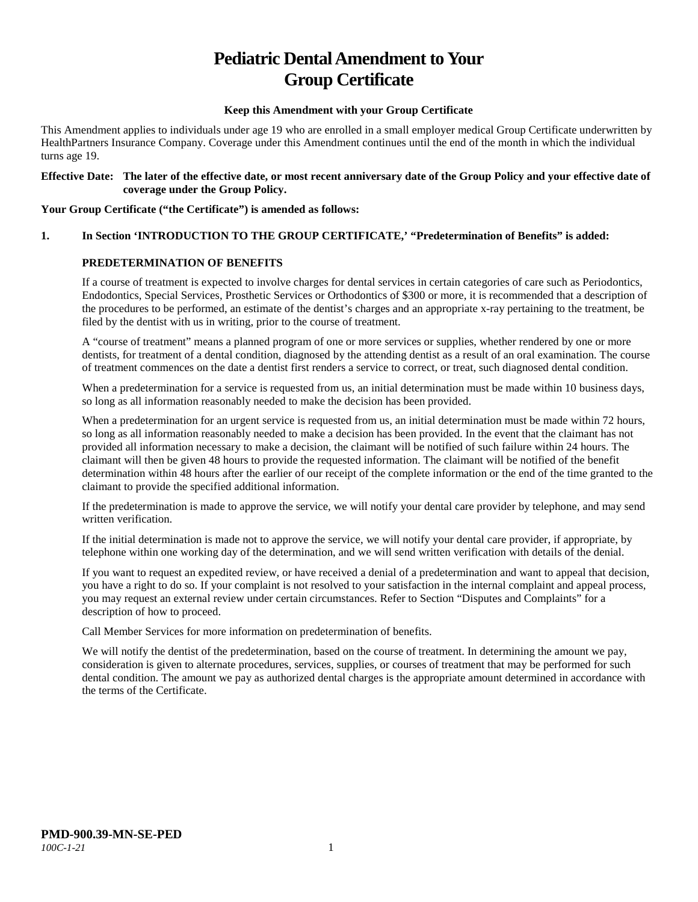# **Pediatric Dental Amendment to Your Group Certificate**

#### **Keep this Amendment with your Group Certificate**

This Amendment applies to individuals under age 19 who are enrolled in a small employer medical Group Certificate underwritten by HealthPartners Insurance Company. Coverage under this Amendment continues until the end of the month in which the individual turns age 19.

#### **Effective Date: The later of the effective date, or most recent anniversary date of the Group Policy and your effective date of coverage under the Group Policy.**

#### **Your Group Certificate ("the Certificate") is amended as follows:**

## **1. In Section 'INTRODUCTION TO THE GROUP CERTIFICATE,' "Predetermination of Benefits" is added:**

#### **PREDETERMINATION OF BENEFITS**

If a course of treatment is expected to involve charges for dental services in certain categories of care such as Periodontics, Endodontics, Special Services, Prosthetic Services or Orthodontics of \$300 or more, it is recommended that a description of the procedures to be performed, an estimate of the dentist's charges and an appropriate x-ray pertaining to the treatment, be filed by the dentist with us in writing, prior to the course of treatment.

A "course of treatment" means a planned program of one or more services or supplies, whether rendered by one or more dentists, for treatment of a dental condition, diagnosed by the attending dentist as a result of an oral examination. The course of treatment commences on the date a dentist first renders a service to correct, or treat, such diagnosed dental condition.

When a predetermination for a service is requested from us, an initial determination must be made within 10 business days, so long as all information reasonably needed to make the decision has been provided.

When a predetermination for an urgent service is requested from us, an initial determination must be made within 72 hours, so long as all information reasonably needed to make a decision has been provided. In the event that the claimant has not provided all information necessary to make a decision, the claimant will be notified of such failure within 24 hours. The claimant will then be given 48 hours to provide the requested information. The claimant will be notified of the benefit determination within 48 hours after the earlier of our receipt of the complete information or the end of the time granted to the claimant to provide the specified additional information.

If the predetermination is made to approve the service, we will notify your dental care provider by telephone, and may send written verification.

If the initial determination is made not to approve the service, we will notify your dental care provider, if appropriate, by telephone within one working day of the determination, and we will send written verification with details of the denial.

If you want to request an expedited review, or have received a denial of a predetermination and want to appeal that decision, you have a right to do so. If your complaint is not resolved to your satisfaction in the internal complaint and appeal process, you may request an external review under certain circumstances. Refer to Section "Disputes and Complaints" for a description of how to proceed.

Call Member Services for more information on predetermination of benefits.

We will notify the dentist of the predetermination, based on the course of treatment. In determining the amount we pay, consideration is given to alternate procedures, services, supplies, or courses of treatment that may be performed for such dental condition. The amount we pay as authorized dental charges is the appropriate amount determined in accordance with the terms of the Certificate.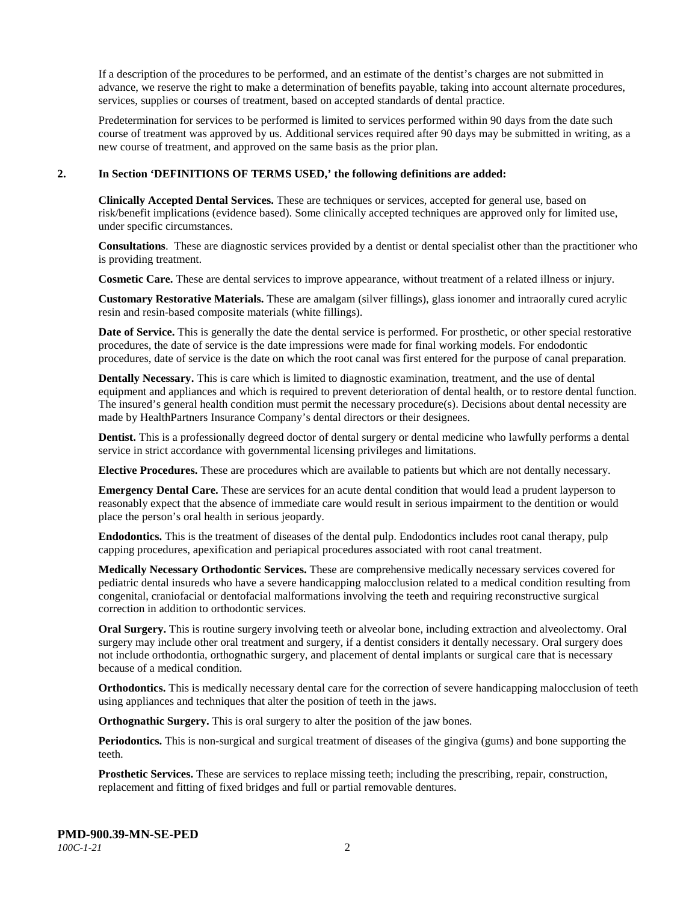If a description of the procedures to be performed, and an estimate of the dentist's charges are not submitted in advance, we reserve the right to make a determination of benefits payable, taking into account alternate procedures, services, supplies or courses of treatment, based on accepted standards of dental practice.

Predetermination for services to be performed is limited to services performed within 90 days from the date such course of treatment was approved by us. Additional services required after 90 days may be submitted in writing, as a new course of treatment, and approved on the same basis as the prior plan.

#### **2. In Section 'DEFINITIONS OF TERMS USED,' the following definitions are added:**

**Clinically Accepted Dental Services.** These are techniques or services, accepted for general use, based on risk/benefit implications (evidence based). Some clinically accepted techniques are approved only for limited use, under specific circumstances.

**Consultations**. These are diagnostic services provided by a dentist or dental specialist other than the practitioner who is providing treatment.

**Cosmetic Care.** These are dental services to improve appearance, without treatment of a related illness or injury.

**Customary Restorative Materials.** These are amalgam (silver fillings), glass ionomer and intraorally cured acrylic resin and resin-based composite materials (white fillings).

**Date of Service.** This is generally the date the dental service is performed. For prosthetic, or other special restorative procedures, the date of service is the date impressions were made for final working models. For endodontic procedures, date of service is the date on which the root canal was first entered for the purpose of canal preparation.

**Dentally Necessary.** This is care which is limited to diagnostic examination, treatment, and the use of dental equipment and appliances and which is required to prevent deterioration of dental health, or to restore dental function. The insured's general health condition must permit the necessary procedure(s). Decisions about dental necessity are made by HealthPartners Insurance Company's dental directors or their designees.

**Dentist.** This is a professionally degreed doctor of dental surgery or dental medicine who lawfully performs a dental service in strict accordance with governmental licensing privileges and limitations.

**Elective Procedures.** These are procedures which are available to patients but which are not dentally necessary.

**Emergency Dental Care.** These are services for an acute dental condition that would lead a prudent layperson to reasonably expect that the absence of immediate care would result in serious impairment to the dentition or would place the person's oral health in serious jeopardy.

**Endodontics.** This is the treatment of diseases of the dental pulp. Endodontics includes root canal therapy, pulp capping procedures, apexification and periapical procedures associated with root canal treatment.

**Medically Necessary Orthodontic Services.** These are comprehensive medically necessary services covered for pediatric dental insureds who have a severe handicapping malocclusion related to a medical condition resulting from congenital, craniofacial or dentofacial malformations involving the teeth and requiring reconstructive surgical correction in addition to orthodontic services.

**Oral Surgery.** This is routine surgery involving teeth or alveolar bone, including extraction and alveolectomy. Oral surgery may include other oral treatment and surgery, if a dentist considers it dentally necessary. Oral surgery does not include orthodontia, orthognathic surgery, and placement of dental implants or surgical care that is necessary because of a medical condition.

**Orthodontics.** This is medically necessary dental care for the correction of severe handicapping malocclusion of teeth using appliances and techniques that alter the position of teeth in the jaws.

**Orthognathic Surgery.** This is oral surgery to alter the position of the jaw bones.

**Periodontics.** This is non-surgical and surgical treatment of diseases of the gingiva (gums) and bone supporting the teeth.

**Prosthetic Services.** These are services to replace missing teeth; including the prescribing, repair, construction, replacement and fitting of fixed bridges and full or partial removable dentures.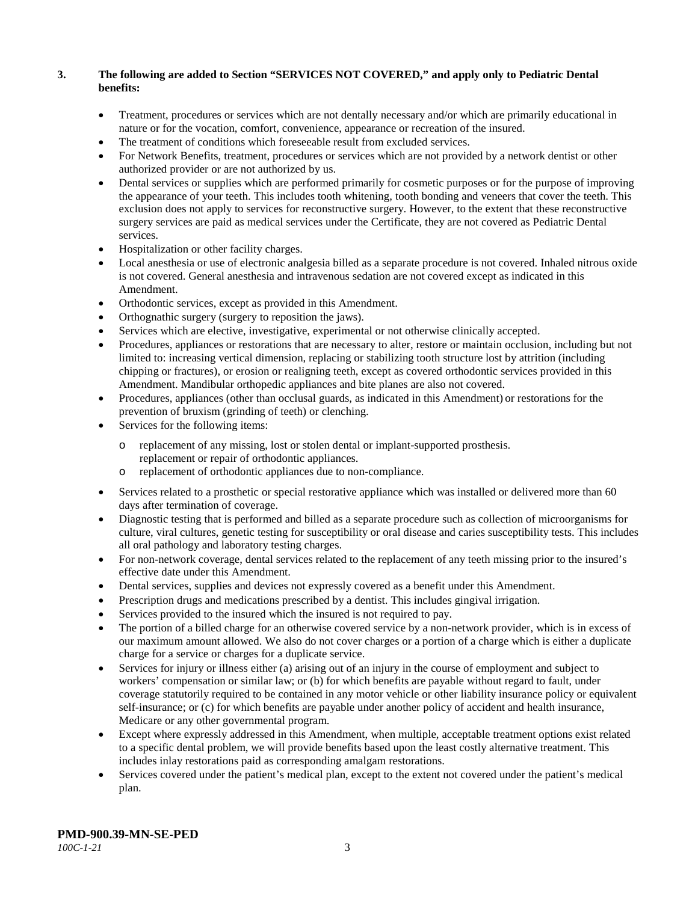## **3. The following are added to Section "SERVICES NOT COVERED," and apply only to Pediatric Dental benefits:**

- Treatment, procedures or services which are not dentally necessary and/or which are primarily educational in nature or for the vocation, comfort, convenience, appearance or recreation of the insured.
- The treatment of conditions which foreseeable result from excluded services.
- For Network Benefits, treatment, procedures or services which are not provided by a network dentist or other authorized provider or are not authorized by us.
- Dental services or supplies which are performed primarily for cosmetic purposes or for the purpose of improving the appearance of your teeth. This includes tooth whitening, tooth bonding and veneers that cover the teeth. This exclusion does not apply to services for reconstructive surgery. However, to the extent that these reconstructive surgery services are paid as medical services under the Certificate, they are not covered as Pediatric Dental services.
- Hospitalization or other facility charges.
- Local anesthesia or use of electronic analgesia billed as a separate procedure is not covered. Inhaled nitrous oxide is not covered. General anesthesia and intravenous sedation are not covered except as indicated in this Amendment.
- Orthodontic services, except as provided in this Amendment.
- Orthognathic surgery (surgery to reposition the jaws).
- Services which are elective, investigative, experimental or not otherwise clinically accepted.
- Procedures, appliances or restorations that are necessary to alter, restore or maintain occlusion, including but not limited to: increasing vertical dimension, replacing or stabilizing tooth structure lost by attrition (including chipping or fractures), or erosion or realigning teeth, except as covered orthodontic services provided in this Amendment. Mandibular orthopedic appliances and bite planes are also not covered.
- Procedures, appliances (other than occlusal guards, as indicated in this Amendment) or restorations for the prevention of bruxism (grinding of teeth) or clenching.
- Services for the following items:
	- o replacement of any missing, lost or stolen dental or implant-supported prosthesis. replacement or repair of orthodontic appliances.
	- o replacement of orthodontic appliances due to non-compliance.
- Services related to a prosthetic or special restorative appliance which was installed or delivered more than 60 days after termination of coverage.
- Diagnostic testing that is performed and billed as a separate procedure such as collection of microorganisms for culture, viral cultures, genetic testing for susceptibility or oral disease and caries susceptibility tests. This includes all oral pathology and laboratory testing charges.
- For non-network coverage, dental services related to the replacement of any teeth missing prior to the insured's effective date under this Amendment.
- Dental services, supplies and devices not expressly covered as a benefit under this Amendment.
- Prescription drugs and medications prescribed by a dentist. This includes gingival irrigation.
- Services provided to the insured which the insured is not required to pay.
- The portion of a billed charge for an otherwise covered service by a non-network provider, which is in excess of our maximum amount allowed. We also do not cover charges or a portion of a charge which is either a duplicate charge for a service or charges for a duplicate service.
- Services for injury or illness either (a) arising out of an injury in the course of employment and subject to workers' compensation or similar law; or (b) for which benefits are payable without regard to fault, under coverage statutorily required to be contained in any motor vehicle or other liability insurance policy or equivalent self-insurance; or (c) for which benefits are payable under another policy of accident and health insurance, Medicare or any other governmental program.
- Except where expressly addressed in this Amendment, when multiple, acceptable treatment options exist related to a specific dental problem, we will provide benefits based upon the least costly alternative treatment. This includes inlay restorations paid as corresponding amalgam restorations.
- Services covered under the patient's medical plan, except to the extent not covered under the patient's medical plan.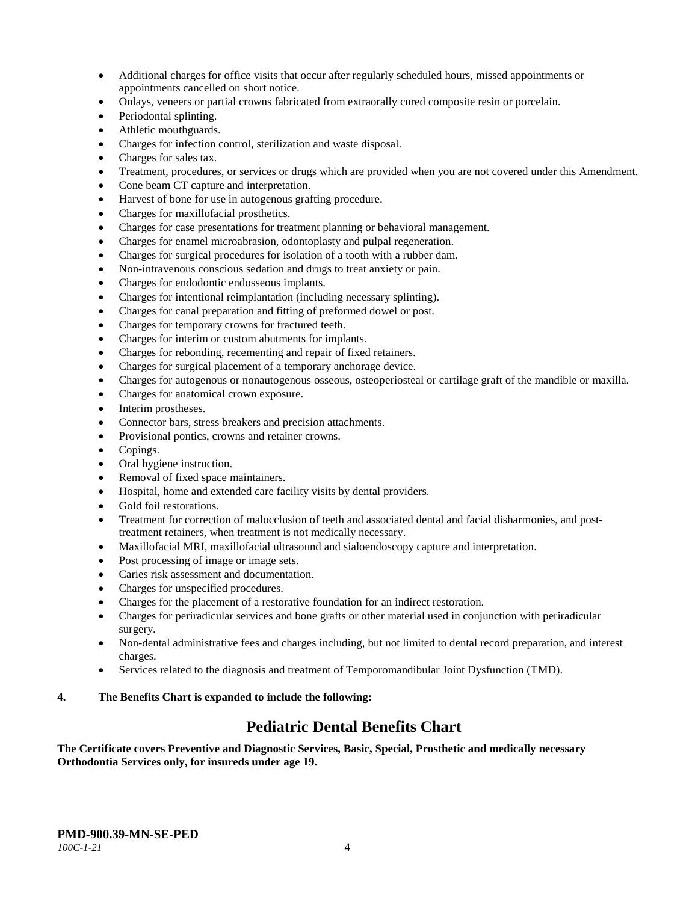- Additional charges for office visits that occur after regularly scheduled hours, missed appointments or appointments cancelled on short notice.
- Onlays, veneers or partial crowns fabricated from extraorally cured composite resin or porcelain.
- Periodontal splinting.
- Athletic mouthguards.
- Charges for infection control, sterilization and waste disposal.
- Charges for sales tax.
- Treatment, procedures, or services or drugs which are provided when you are not covered under this Amendment.
- Cone beam CT capture and interpretation.
- Harvest of bone for use in autogenous grafting procedure.
- Charges for maxillofacial prosthetics.
- Charges for case presentations for treatment planning or behavioral management.
- Charges for enamel microabrasion, odontoplasty and pulpal regeneration.
- Charges for surgical procedures for isolation of a tooth with a rubber dam.
- Non-intravenous conscious sedation and drugs to treat anxiety or pain.
- Charges for endodontic endosseous implants.
- Charges for intentional reimplantation (including necessary splinting).
- Charges for canal preparation and fitting of preformed dowel or post.
- Charges for temporary crowns for fractured teeth.
- Charges for interim or custom abutments for implants.
- Charges for rebonding, recementing and repair of fixed retainers.
- Charges for surgical placement of a temporary anchorage device.
- Charges for autogenous or nonautogenous osseous, osteoperiosteal or cartilage graft of the mandible or maxilla.
- Charges for anatomical crown exposure.
- Interim prostheses.
- Connector bars, stress breakers and precision attachments.
- Provisional pontics, crowns and retainer crowns.
- Copings.
- Oral hygiene instruction.
- Removal of fixed space maintainers.
- Hospital, home and extended care facility visits by dental providers.
- Gold foil restorations.
- Treatment for correction of malocclusion of teeth and associated dental and facial disharmonies, and posttreatment retainers, when treatment is not medically necessary.
- Maxillofacial MRI, maxillofacial ultrasound and sialoendoscopy capture and interpretation.
- Post processing of image or image sets.
- Caries risk assessment and documentation.
- Charges for unspecified procedures.
- Charges for the placement of a restorative foundation for an indirect restoration.
- Charges for periradicular services and bone grafts or other material used in conjunction with periradicular surgery.
- Non-dental administrative fees and charges including, but not limited to dental record preparation, and interest charges.
- Services related to the diagnosis and treatment of Temporomandibular Joint Dysfunction (TMD).

## **4. The Benefits Chart is expanded to include the following:**

## **Pediatric Dental Benefits Chart**

**The Certificate covers Preventive and Diagnostic Services, Basic, Special, Prosthetic and medically necessary Orthodontia Services only, for insureds under age 19.**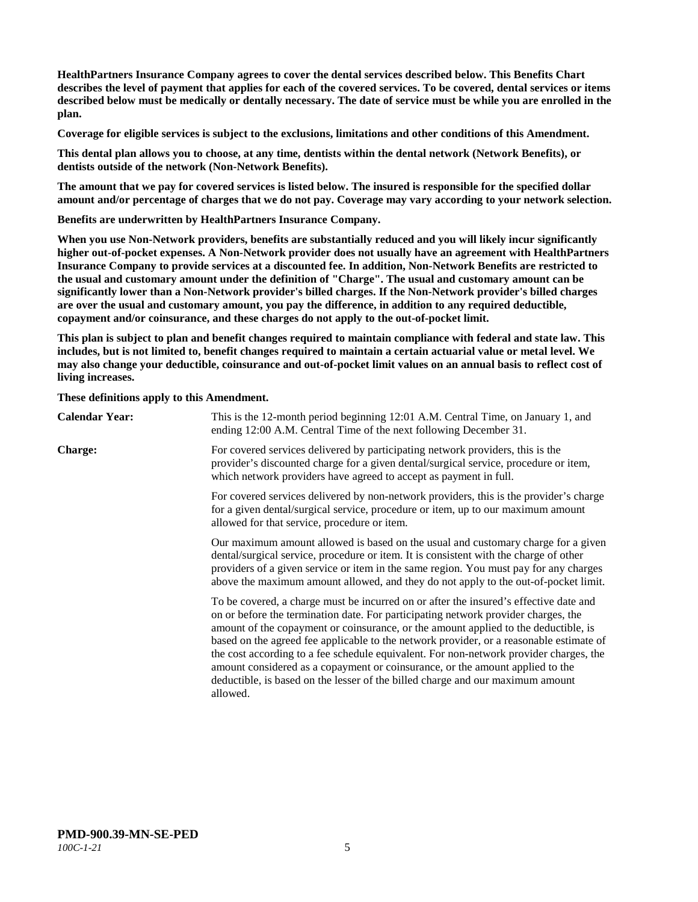**HealthPartners Insurance Company agrees to cover the dental services described below. This Benefits Chart describes the level of payment that applies for each of the covered services. To be covered, dental services or items described below must be medically or dentally necessary. The date of service must be while you are enrolled in the plan.**

**Coverage for eligible services is subject to the exclusions, limitations and other conditions of this Amendment.**

**This dental plan allows you to choose, at any time, dentists within the dental network (Network Benefits), or dentists outside of the network (Non-Network Benefits).**

**The amount that we pay for covered services is listed below. The insured is responsible for the specified dollar amount and/or percentage of charges that we do not pay. Coverage may vary according to your network selection.**

**Benefits are underwritten by HealthPartners Insurance Company.**

**When you use Non-Network providers, benefits are substantially reduced and you will likely incur significantly higher out-of-pocket expenses. A Non-Network provider does not usually have an agreement with HealthPartners Insurance Company to provide services at a discounted fee. In addition, Non-Network Benefits are restricted to the usual and customary amount under the definition of "Charge". The usual and customary amount can be significantly lower than a Non-Network provider's billed charges. If the Non-Network provider's billed charges are over the usual and customary amount, you pay the difference, in addition to any required deductible, copayment and/or coinsurance, and these charges do not apply to the out-of-pocket limit.**

**This plan is subject to plan and benefit changes required to maintain compliance with federal and state law. This includes, but is not limited to, benefit changes required to maintain a certain actuarial value or metal level. We may also change your deductible, coinsurance and out-of-pocket limit values on an annual basis to reflect cost of living increases.**

**These definitions apply to this Amendment.**

| <b>Calendar Year:</b> | This is the 12-month period beginning 12:01 A.M. Central Time, on January 1, and<br>ending 12:00 A.M. Central Time of the next following December 31.                                                                                                                                                                                                                                                                                                                                                                                                                                                                                  |
|-----------------------|----------------------------------------------------------------------------------------------------------------------------------------------------------------------------------------------------------------------------------------------------------------------------------------------------------------------------------------------------------------------------------------------------------------------------------------------------------------------------------------------------------------------------------------------------------------------------------------------------------------------------------------|
| <b>Charge:</b>        | For covered services delivered by participating network providers, this is the<br>provider's discounted charge for a given dental/surgical service, procedure or item,<br>which network providers have agreed to accept as payment in full.                                                                                                                                                                                                                                                                                                                                                                                            |
|                       | For covered services delivered by non-network providers, this is the provider's charge<br>for a given dental/surgical service, procedure or item, up to our maximum amount<br>allowed for that service, procedure or item.                                                                                                                                                                                                                                                                                                                                                                                                             |
|                       | Our maximum amount allowed is based on the usual and customary charge for a given<br>dental/surgical service, procedure or item. It is consistent with the charge of other<br>providers of a given service or item in the same region. You must pay for any charges<br>above the maximum amount allowed, and they do not apply to the out-of-pocket limit.                                                                                                                                                                                                                                                                             |
|                       | To be covered, a charge must be incurred on or after the insured's effective date and<br>on or before the termination date. For participating network provider charges, the<br>amount of the copayment or coinsurance, or the amount applied to the deductible, is<br>based on the agreed fee applicable to the network provider, or a reasonable estimate of<br>the cost according to a fee schedule equivalent. For non-network provider charges, the<br>amount considered as a copayment or coinsurance, or the amount applied to the<br>deductible, is based on the lesser of the billed charge and our maximum amount<br>allowed. |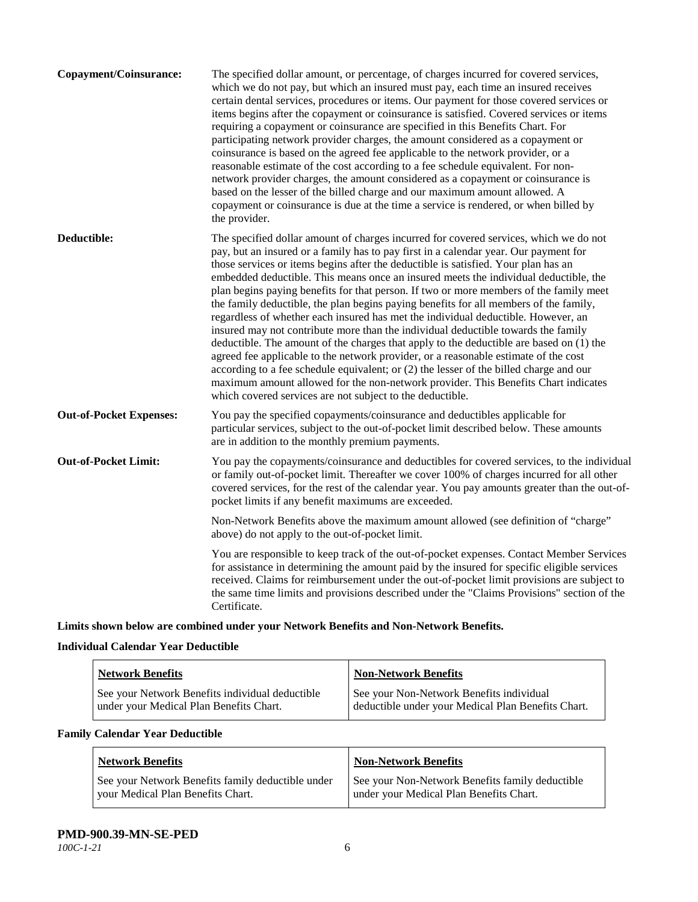| Copayment/Coinsurance:         | The specified dollar amount, or percentage, of charges incurred for covered services,<br>which we do not pay, but which an insured must pay, each time an insured receives<br>certain dental services, procedures or items. Our payment for those covered services or<br>items begins after the copayment or coinsurance is satisfied. Covered services or items<br>requiring a copayment or coinsurance are specified in this Benefits Chart. For<br>participating network provider charges, the amount considered as a copayment or<br>coinsurance is based on the agreed fee applicable to the network provider, or a<br>reasonable estimate of the cost according to a fee schedule equivalent. For non-<br>network provider charges, the amount considered as a copayment or coinsurance is<br>based on the lesser of the billed charge and our maximum amount allowed. A<br>copayment or coinsurance is due at the time a service is rendered, or when billed by<br>the provider.                                                                                                                                                                 |
|--------------------------------|---------------------------------------------------------------------------------------------------------------------------------------------------------------------------------------------------------------------------------------------------------------------------------------------------------------------------------------------------------------------------------------------------------------------------------------------------------------------------------------------------------------------------------------------------------------------------------------------------------------------------------------------------------------------------------------------------------------------------------------------------------------------------------------------------------------------------------------------------------------------------------------------------------------------------------------------------------------------------------------------------------------------------------------------------------------------------------------------------------------------------------------------------------|
| Deductible:                    | The specified dollar amount of charges incurred for covered services, which we do not<br>pay, but an insured or a family has to pay first in a calendar year. Our payment for<br>those services or items begins after the deductible is satisfied. Your plan has an<br>embedded deductible. This means once an insured meets the individual deductible, the<br>plan begins paying benefits for that person. If two or more members of the family meet<br>the family deductible, the plan begins paying benefits for all members of the family,<br>regardless of whether each insured has met the individual deductible. However, an<br>insured may not contribute more than the individual deductible towards the family<br>deductible. The amount of the charges that apply to the deductible are based on (1) the<br>agreed fee applicable to the network provider, or a reasonable estimate of the cost<br>according to a fee schedule equivalent; or (2) the lesser of the billed charge and our<br>maximum amount allowed for the non-network provider. This Benefits Chart indicates<br>which covered services are not subject to the deductible. |
| <b>Out-of-Pocket Expenses:</b> | You pay the specified copayments/coinsurance and deductibles applicable for<br>particular services, subject to the out-of-pocket limit described below. These amounts<br>are in addition to the monthly premium payments.                                                                                                                                                                                                                                                                                                                                                                                                                                                                                                                                                                                                                                                                                                                                                                                                                                                                                                                               |
| <b>Out-of-Pocket Limit:</b>    | You pay the copayments/coinsurance and deductibles for covered services, to the individual<br>or family out-of-pocket limit. Thereafter we cover 100% of charges incurred for all other<br>covered services, for the rest of the calendar year. You pay amounts greater than the out-of-<br>pocket limits if any benefit maximums are exceeded.                                                                                                                                                                                                                                                                                                                                                                                                                                                                                                                                                                                                                                                                                                                                                                                                         |
|                                | Non-Network Benefits above the maximum amount allowed (see definition of "charge"<br>above) do not apply to the out-of-pocket limit.                                                                                                                                                                                                                                                                                                                                                                                                                                                                                                                                                                                                                                                                                                                                                                                                                                                                                                                                                                                                                    |
|                                | You are responsible to keep track of the out-of-pocket expenses. Contact Member Services<br>for assistance in determining the amount paid by the insured for specific eligible services<br>received. Claims for reimbursement under the out-of-pocket limit provisions are subject to<br>the same time limits and provisions described under the "Claims Provisions" section of the<br>Certificate.                                                                                                                                                                                                                                                                                                                                                                                                                                                                                                                                                                                                                                                                                                                                                     |

**Limits shown below are combined under your Network Benefits and Non-Network Benefits.**

## **Individual Calendar Year Deductible**

| <b>Network Benefits</b>                         | <b>Non-Network Benefits</b>                        |
|-------------------------------------------------|----------------------------------------------------|
| See your Network Benefits individual deductible | See your Non-Network Benefits individual           |
| under your Medical Plan Benefits Chart.         | deductible under your Medical Plan Benefits Chart. |

## **Family Calendar Year Deductible**

| <b>Network Benefits</b>                           | <b>Non-Network Benefits</b>                     |
|---------------------------------------------------|-------------------------------------------------|
| See your Network Benefits family deductible under | See your Non-Network Benefits family deductible |
| vour Medical Plan Benefits Chart.                 | under your Medical Plan Benefits Chart.         |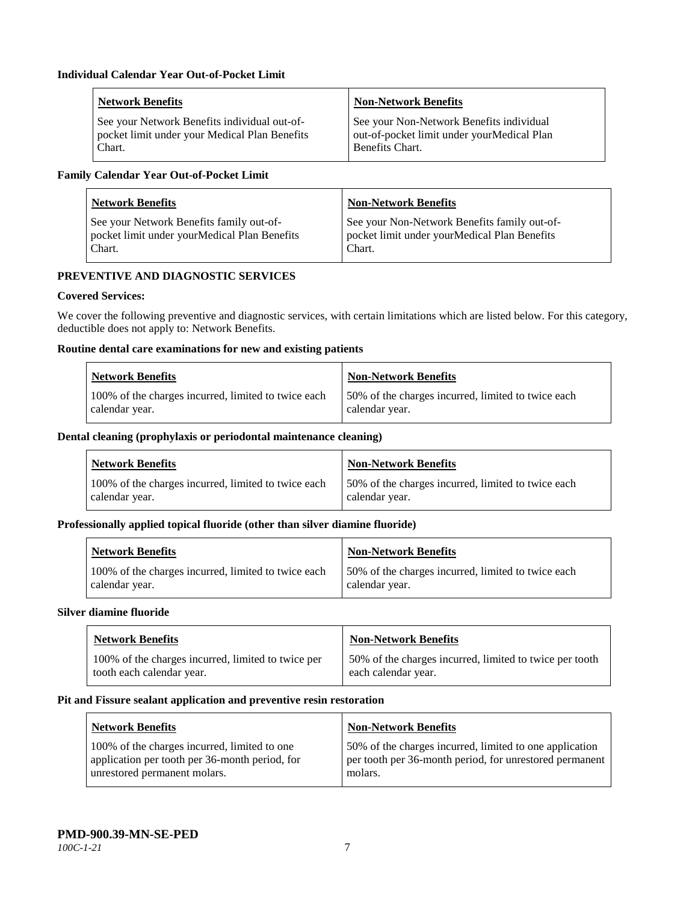| <b>Network Benefits</b>                       | <b>Non-Network Benefits</b>                |
|-----------------------------------------------|--------------------------------------------|
| See your Network Benefits individual out-of-  | See your Non-Network Benefits individual   |
| pocket limit under your Medical Plan Benefits | out-of-pocket limit under yourMedical Plan |
| Chart.                                        | <b>Benefits Chart.</b>                     |

## **Family Calendar Year Out-of-Pocket Limit**

| <b>Network Benefits</b>                      | Non-Network Benefits                         |
|----------------------------------------------|----------------------------------------------|
| See your Network Benefits family out-of-     | See your Non-Network Benefits family out-of- |
| pocket limit under yourMedical Plan Benefits | pocket limit under yourMedical Plan Benefits |
| Chart.                                       | Chart.                                       |

## **PREVENTIVE AND DIAGNOSTIC SERVICES**

#### **Covered Services:**

We cover the following preventive and diagnostic services, with certain limitations which are listed below. For this category, deductible does not apply to: Network Benefits.

## **Routine dental care examinations for new and existing patients**

| <b>Network Benefits</b>                             | Non-Network Benefits                                |
|-----------------------------------------------------|-----------------------------------------------------|
| 100% of the charges incurred, limited to twice each | 150% of the charges incurred, limited to twice each |
| calendar year.                                      | calendar year.                                      |

#### **Dental cleaning (prophylaxis or periodontal maintenance cleaning)**

| <b>Network Benefits</b>                             | <b>Non-Network Benefits</b>                        |
|-----------------------------------------------------|----------------------------------------------------|
| 100% of the charges incurred, limited to twice each | 50% of the charges incurred, limited to twice each |
| calendar year.                                      | calendar year.                                     |

#### **Professionally applied topical fluoride (other than silver diamine fluoride)**

| <b>Network Benefits</b>                             | <b>Non-Network Benefits</b>                         |
|-----------------------------------------------------|-----------------------------------------------------|
| 100% of the charges incurred, limited to twice each | 150% of the charges incurred, limited to twice each |
| calendar year.                                      | calendar year.                                      |

#### **Silver diamine fluoride**

| <b>Network Benefits</b>                            | <b>Non-Network Benefits</b>                             |
|----------------------------------------------------|---------------------------------------------------------|
| 100% of the charges incurred, limited to twice per | 50% of the charges incurred, limited to twice per tooth |
| tooth each calendar year.                          | each calendar year.                                     |

#### **Pit and Fissure sealant application and preventive resin restoration**

| Network Benefits                               | <b>Non-Network Benefits</b>                             |
|------------------------------------------------|---------------------------------------------------------|
| 100% of the charges incurred, limited to one   | 50% of the charges incurred, limited to one application |
| application per tooth per 36-month period, for | per tooth per 36-month period, for unrestored permanent |
| unrestored permanent molars.                   | molars.                                                 |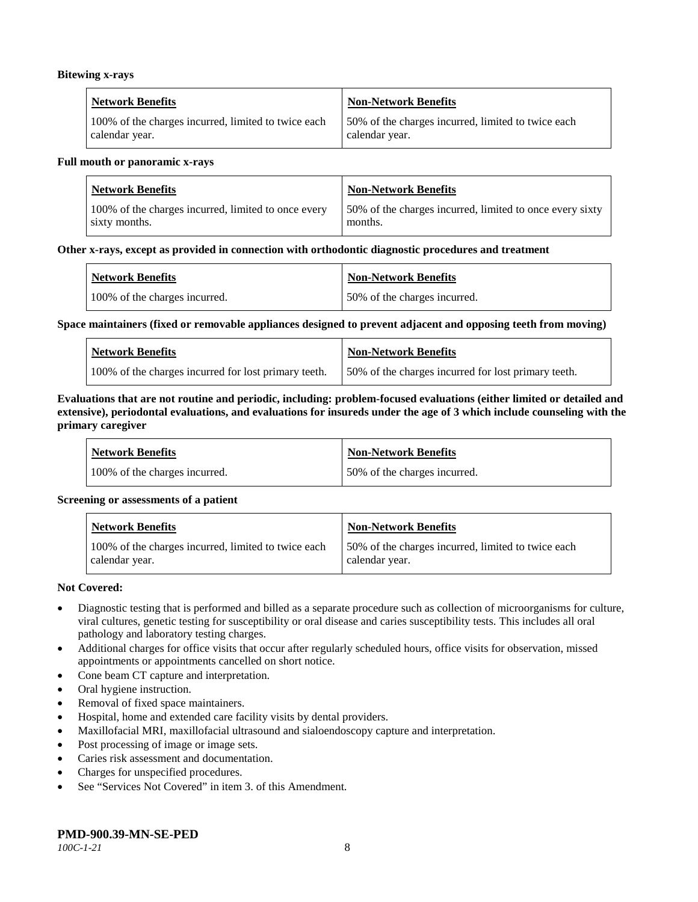#### **Bitewing x-rays**

| <b>Network Benefits</b>                             | Non-Network Benefits                               |
|-----------------------------------------------------|----------------------------------------------------|
| 100% of the charges incurred, limited to twice each | 50% of the charges incurred, limited to twice each |
| calendar year.                                      | calendar year.                                     |

#### **Full mouth or panoramic x-rays**

| <b>Network Benefits</b>                             | <b>Non-Network Benefits</b>                              |
|-----------------------------------------------------|----------------------------------------------------------|
| 100% of the charges incurred, limited to once every | 50% of the charges incurred, limited to once every sixty |
| sixty months.                                       | months.                                                  |

#### **Other x-rays, except as provided in connection with orthodontic diagnostic procedures and treatment**

| <b>Network Benefits</b>       | <b>Non-Network Benefits</b>  |
|-------------------------------|------------------------------|
| 100% of the charges incurred. | 50% of the charges incurred. |

#### **Space maintainers (fixed or removable appliances designed to prevent adjacent and opposing teeth from moving)**

| <b>Network Benefits</b>                              | <b>Non-Network Benefits</b>                         |
|------------------------------------------------------|-----------------------------------------------------|
| 100% of the charges incurred for lost primary teeth. | 50% of the charges incurred for lost primary teeth. |

#### **Evaluations that are not routine and periodic, including: problem-focused evaluations (either limited or detailed and extensive), periodontal evaluations, and evaluations for insureds under the age of 3 which include counseling with the primary caregiver**

| <b>Network Benefits</b>       | <b>Non-Network Benefits</b>  |
|-------------------------------|------------------------------|
| 100% of the charges incurred. | 50% of the charges incurred. |

#### **Screening or assessments of a patient**

| <b>Network Benefits</b>                                               | Non-Network Benefits                                                  |
|-----------------------------------------------------------------------|-----------------------------------------------------------------------|
| 100% of the charges incurred, limited to twice each<br>calendar year. | 150% of the charges incurred, limited to twice each<br>calendar year. |

#### **Not Covered:**

- Diagnostic testing that is performed and billed as a separate procedure such as collection of microorganisms for culture, viral cultures, genetic testing for susceptibility or oral disease and caries susceptibility tests. This includes all oral pathology and laboratory testing charges.
- Additional charges for office visits that occur after regularly scheduled hours, office visits for observation, missed appointments or appointments cancelled on short notice.
- Cone beam CT capture and interpretation.
- Oral hygiene instruction.
- Removal of fixed space maintainers.
- Hospital, home and extended care facility visits by dental providers.
- Maxillofacial MRI, maxillofacial ultrasound and sialoendoscopy capture and interpretation.
- Post processing of image or image sets.
- Caries risk assessment and documentation.
- Charges for unspecified procedures.
- See "Services Not Covered" in item 3. of this Amendment.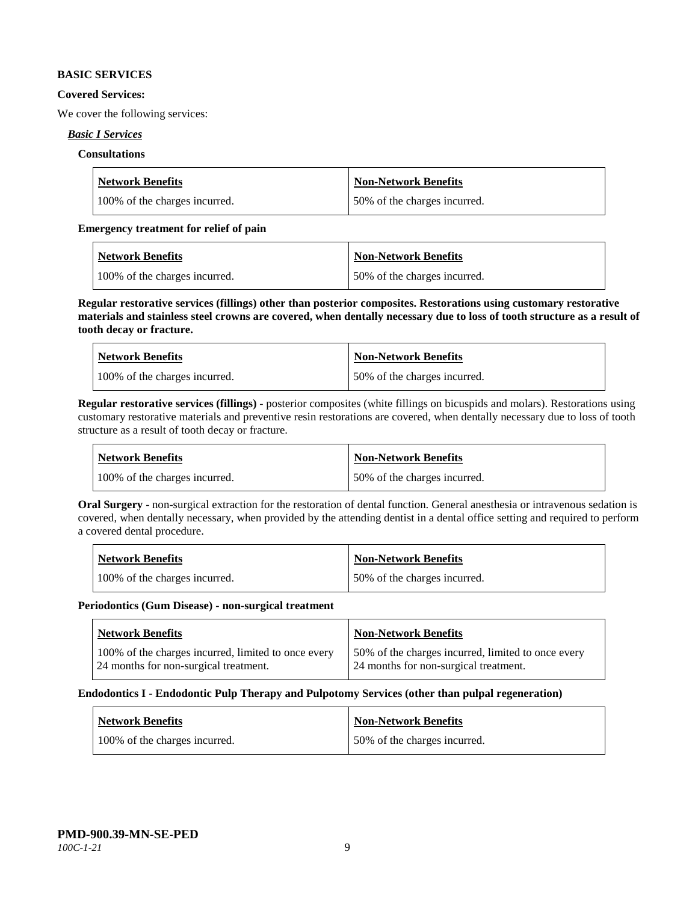#### **BASIC SERVICES**

#### **Covered Services:**

We cover the following services:

#### *Basic I Services*

#### **Consultations**

| <b>Network Benefits</b>       | Non-Network Benefits         |
|-------------------------------|------------------------------|
| 100% of the charges incurred. | 50% of the charges incurred. |

#### **Emergency treatment for relief of pain**

| <b>Network Benefits</b>       | <b>Non-Network Benefits</b>  |
|-------------------------------|------------------------------|
| 100% of the charges incurred. | 50% of the charges incurred. |

**Regular restorative services (fillings) other than posterior composites. Restorations using customary restorative materials and stainless steel crowns are covered, when dentally necessary due to loss of tooth structure as a result of tooth decay or fracture.**

| <b>Network Benefits</b>       | <b>Non-Network Benefits</b>   |
|-------------------------------|-------------------------------|
| 100% of the charges incurred. | 150% of the charges incurred. |

**Regular restorative services (fillings)** - posterior composites (white fillings on bicuspids and molars). Restorations using customary restorative materials and preventive resin restorations are covered, when dentally necessary due to loss of tooth structure as a result of tooth decay or fracture.

| Network Benefits              | <b>Non-Network Benefits</b>  |
|-------------------------------|------------------------------|
| 100% of the charges incurred. | 50% of the charges incurred. |

**Oral Surgery** - non-surgical extraction for the restoration of dental function. General anesthesia or intravenous sedation is covered, when dentally necessary, when provided by the attending dentist in a dental office setting and required to perform a covered dental procedure.

| <b>Network Benefits</b>       | <b>Non-Network Benefits</b>  |
|-------------------------------|------------------------------|
| 100% of the charges incurred. | 50% of the charges incurred. |

#### **Periodontics (Gum Disease) - non-surgical treatment**

| Network Benefits                                                                             | <b>Non-Network Benefits</b>                                                                 |
|----------------------------------------------------------------------------------------------|---------------------------------------------------------------------------------------------|
| 100% of the charges incurred, limited to once every<br>24 months for non-surgical treatment. | 50% of the charges incurred, limited to once every<br>24 months for non-surgical treatment. |

#### **Endodontics I - Endodontic Pulp Therapy and Pulpotomy Services (other than pulpal regeneration)**

| <b>Network Benefits</b>       | <b>Non-Network Benefits</b>  |
|-------------------------------|------------------------------|
| 100% of the charges incurred. | 50% of the charges incurred. |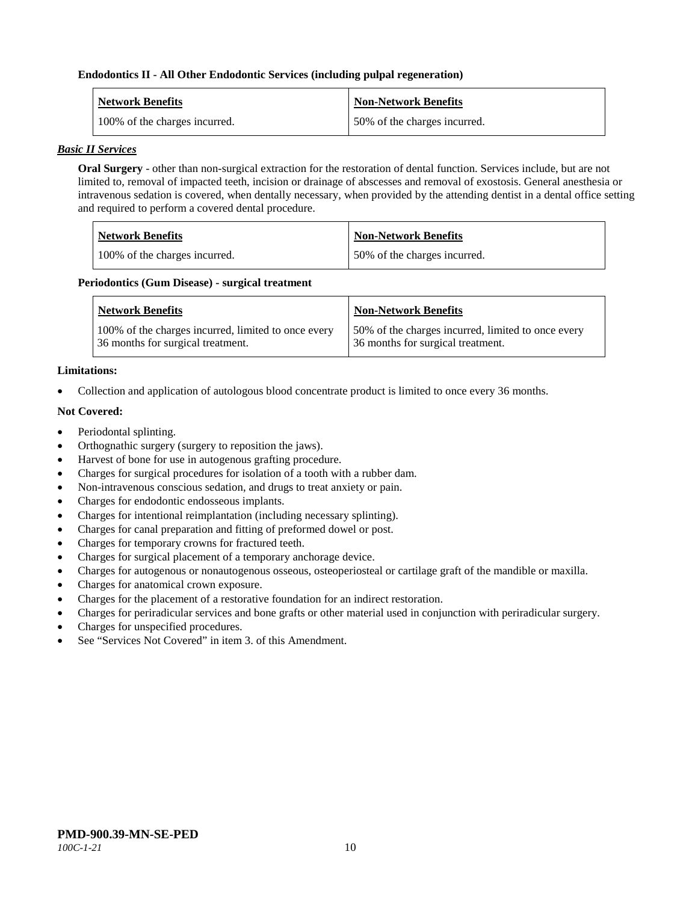#### **Endodontics II - All Other Endodontic Services (including pulpal regeneration)**

| <b>Network Benefits</b>       | <b>Non-Network Benefits</b>  |
|-------------------------------|------------------------------|
| 100% of the charges incurred. | 50% of the charges incurred. |

#### *Basic II Services*

**Oral Surgery** - other than non-surgical extraction for the restoration of dental function. Services include, but are not limited to, removal of impacted teeth, incision or drainage of abscesses and removal of exostosis. General anesthesia or intravenous sedation is covered, when dentally necessary, when provided by the attending dentist in a dental office setting and required to perform a covered dental procedure.

| <b>Network Benefits</b>       | <b>Non-Network Benefits</b>  |
|-------------------------------|------------------------------|
| 100% of the charges incurred. | 50% of the charges incurred. |

#### **Periodontics (Gum Disease) - surgical treatment**

| <b>Network Benefits</b>                                                                  | <b>Non-Network Benefits</b>                                                             |
|------------------------------------------------------------------------------------------|-----------------------------------------------------------------------------------------|
| 100% of the charges incurred, limited to once every<br>36 months for surgical treatment. | 50% of the charges incurred, limited to once every<br>36 months for surgical treatment. |

#### **Limitations:**

• Collection and application of autologous blood concentrate product is limited to once every 36 months.

#### **Not Covered:**

- Periodontal splinting.
- Orthognathic surgery (surgery to reposition the jaws).
- Harvest of bone for use in autogenous grafting procedure.
- Charges for surgical procedures for isolation of a tooth with a rubber dam.
- Non-intravenous conscious sedation, and drugs to treat anxiety or pain.
- Charges for endodontic endosseous implants.
- Charges for intentional reimplantation (including necessary splinting).
- Charges for canal preparation and fitting of preformed dowel or post.
- Charges for temporary crowns for fractured teeth.
- Charges for surgical placement of a temporary anchorage device.
- Charges for autogenous or nonautogenous osseous, osteoperiosteal or cartilage graft of the mandible or maxilla.
- Charges for anatomical crown exposure.
- Charges for the placement of a restorative foundation for an indirect restoration.
- Charges for periradicular services and bone grafts or other material used in conjunction with periradicular surgery.
- Charges for unspecified procedures.
- See "Services Not Covered" in item 3, of this Amendment.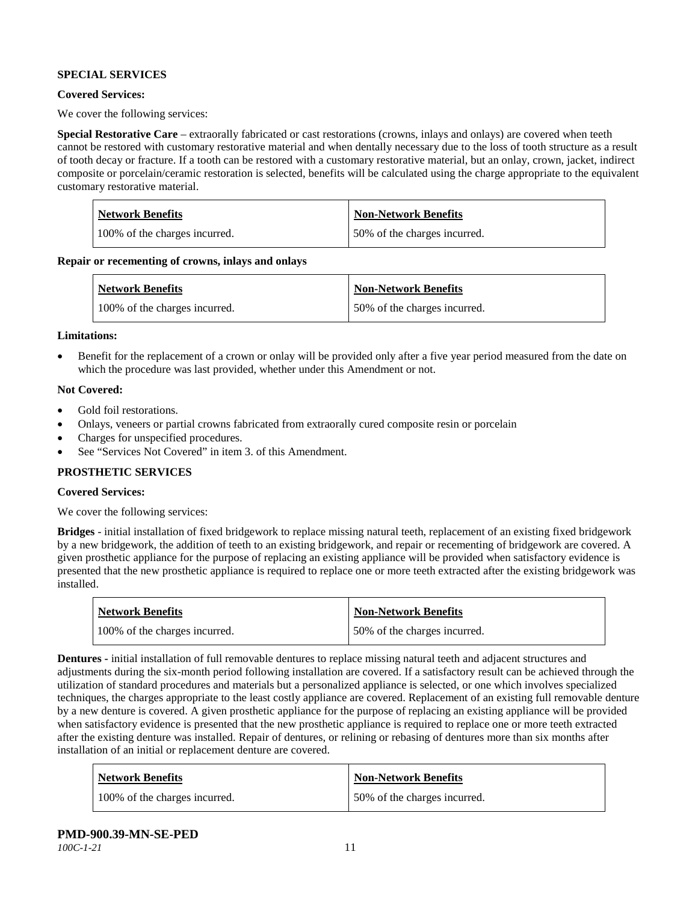## **SPECIAL SERVICES**

#### **Covered Services:**

We cover the following services:

**Special Restorative Care** – extraorally fabricated or cast restorations (crowns, inlays and onlays) are covered when teeth cannot be restored with customary restorative material and when dentally necessary due to the loss of tooth structure as a result of tooth decay or fracture. If a tooth can be restored with a customary restorative material, but an onlay, crown, jacket, indirect composite or porcelain/ceramic restoration is selected, benefits will be calculated using the charge appropriate to the equivalent customary restorative material.

| Network Benefits              | <b>Non-Network Benefits</b>  |
|-------------------------------|------------------------------|
| 100% of the charges incurred. | 50% of the charges incurred. |

**Repair or recementing of crowns, inlays and onlays**

| <b>Network Benefits</b>       | <b>Non-Network Benefits</b>  |
|-------------------------------|------------------------------|
| 100% of the charges incurred. | 50% of the charges incurred. |

#### **Limitations:**

• Benefit for the replacement of a crown or onlay will be provided only after a five year period measured from the date on which the procedure was last provided, whether under this Amendment or not.

#### **Not Covered:**

- Gold foil restorations.
- Onlays, veneers or partial crowns fabricated from extraorally cured composite resin or porcelain
- Charges for unspecified procedures.
- See "Services Not Covered" in item 3. of this Amendment.

#### **PROSTHETIC SERVICES**

#### **Covered Services:**

We cover the following services:

**Bridges** - initial installation of fixed bridgework to replace missing natural teeth, replacement of an existing fixed bridgework by a new bridgework, the addition of teeth to an existing bridgework, and repair or recementing of bridgework are covered. A given prosthetic appliance for the purpose of replacing an existing appliance will be provided when satisfactory evidence is presented that the new prosthetic appliance is required to replace one or more teeth extracted after the existing bridgework was installed.

| <b>Network Benefits</b>       | <b>Non-Network Benefits</b>  |
|-------------------------------|------------------------------|
| 100% of the charges incurred. | 50% of the charges incurred. |

**Dentures -** initial installation of full removable dentures to replace missing natural teeth and adjacent structures and adjustments during the six-month period following installation are covered. If a satisfactory result can be achieved through the utilization of standard procedures and materials but a personalized appliance is selected, or one which involves specialized techniques, the charges appropriate to the least costly appliance are covered. Replacement of an existing full removable denture by a new denture is covered. A given prosthetic appliance for the purpose of replacing an existing appliance will be provided when satisfactory evidence is presented that the new prosthetic appliance is required to replace one or more teeth extracted after the existing denture was installed. Repair of dentures, or relining or rebasing of dentures more than six months after installation of an initial or replacement denture are covered.

| <b>Network Benefits</b>       | <b>Non-Network Benefits</b>  |
|-------------------------------|------------------------------|
| 100% of the charges incurred. | 50% of the charges incurred. |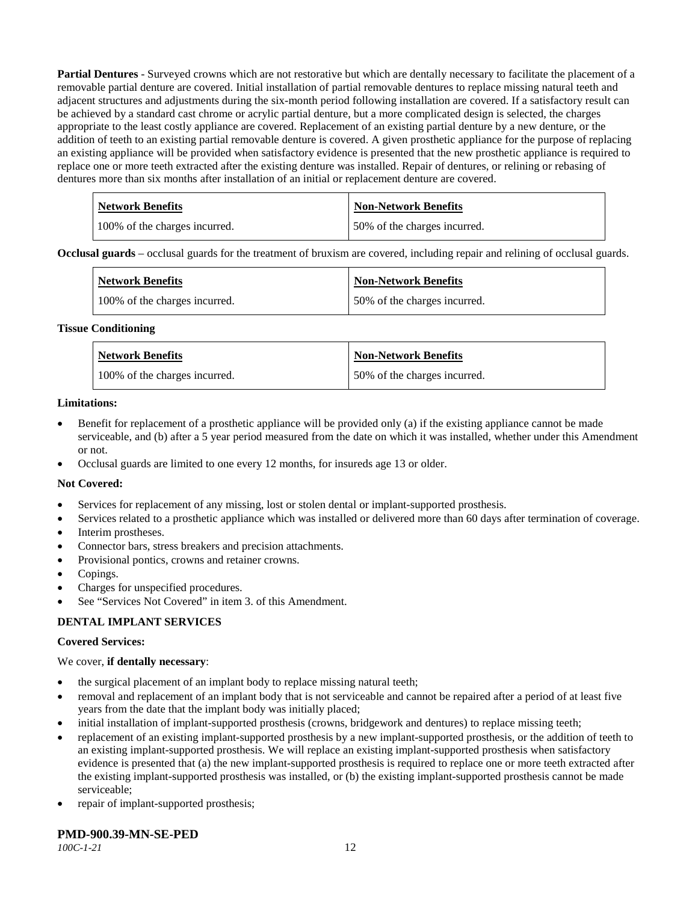**Partial Dentures** - Surveyed crowns which are not restorative but which are dentally necessary to facilitate the placement of a removable partial denture are covered. Initial installation of partial removable dentures to replace missing natural teeth and adjacent structures and adjustments during the six-month period following installation are covered. If a satisfactory result can be achieved by a standard cast chrome or acrylic partial denture, but a more complicated design is selected, the charges appropriate to the least costly appliance are covered. Replacement of an existing partial denture by a new denture, or the addition of teeth to an existing partial removable denture is covered. A given prosthetic appliance for the purpose of replacing an existing appliance will be provided when satisfactory evidence is presented that the new prosthetic appliance is required to replace one or more teeth extracted after the existing denture was installed. Repair of dentures, or relining or rebasing of dentures more than six months after installation of an initial or replacement denture are covered.

| <b>Network Benefits</b>       | <b>Non-Network Benefits</b>  |
|-------------------------------|------------------------------|
| 100% of the charges incurred. | 50% of the charges incurred. |

**Occlusal guards** – occlusal guards for the treatment of bruxism are covered, including repair and relining of occlusal guards.

| <b>Network Benefits</b>       | <b>Non-Network Benefits</b>  |
|-------------------------------|------------------------------|
| 100% of the charges incurred. | 50% of the charges incurred. |

#### **Tissue Conditioning**

| <b>Network Benefits</b>       | <b>Non-Network Benefits</b>  |
|-------------------------------|------------------------------|
| 100% of the charges incurred. | 50% of the charges incurred. |

#### **Limitations:**

- Benefit for replacement of a prosthetic appliance will be provided only (a) if the existing appliance cannot be made serviceable, and (b) after a 5 year period measured from the date on which it was installed, whether under this Amendment or not.
- Occlusal guards are limited to one every 12 months, for insureds age 13 or older.

#### **Not Covered:**

- Services for replacement of any missing, lost or stolen dental or implant-supported prosthesis.
- Services related to a prosthetic appliance which was installed or delivered more than 60 days after termination of coverage.
- Interim prostheses.
- Connector bars, stress breakers and precision attachments.
- Provisional pontics, crowns and retainer crowns.
- Copings.
- Charges for unspecified procedures.
- See "Services Not Covered" in item 3. of this Amendment.

#### **DENTAL IMPLANT SERVICES**

#### **Covered Services:**

#### We cover, **if dentally necessary**:

- the surgical placement of an implant body to replace missing natural teeth;
- removal and replacement of an implant body that is not serviceable and cannot be repaired after a period of at least five years from the date that the implant body was initially placed;
- initial installation of implant-supported prosthesis (crowns, bridgework and dentures) to replace missing teeth;
- replacement of an existing implant-supported prosthesis by a new implant-supported prosthesis, or the addition of teeth to an existing implant-supported prosthesis. We will replace an existing implant-supported prosthesis when satisfactory evidence is presented that (a) the new implant-supported prosthesis is required to replace one or more teeth extracted after the existing implant-supported prosthesis was installed, or (b) the existing implant-supported prosthesis cannot be made serviceable;
- repair of implant-supported prosthesis;

#### **PMD-900.39-MN-SE-PED**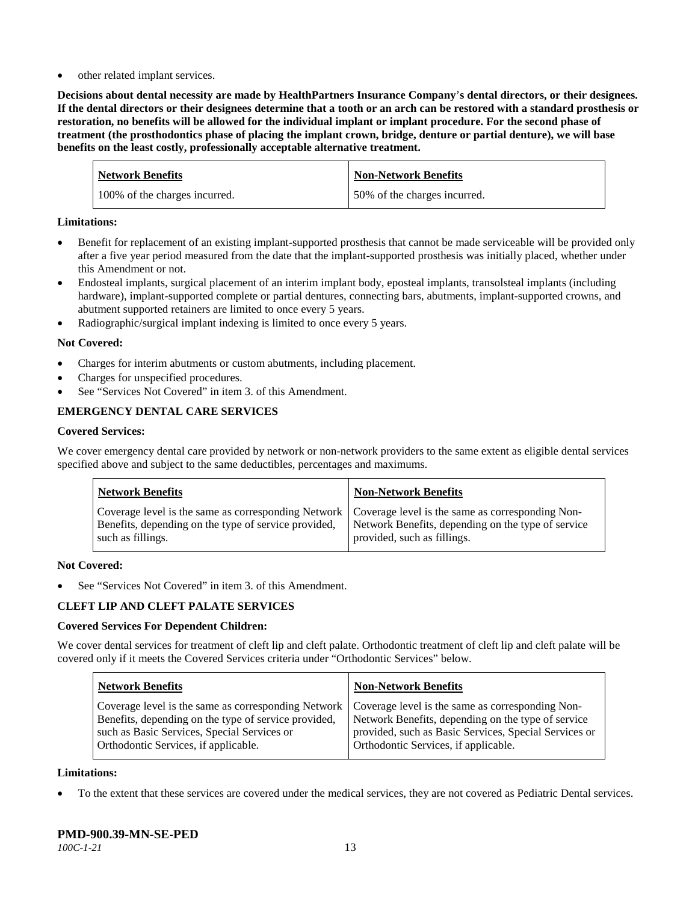other related implant services.

**Decisions about dental necessity are made by HealthPartners Insurance Company**'**s dental directors, or their designees. If the dental directors or their designees determine that a tooth or an arch can be restored with a standard prosthesis or restoration, no benefits will be allowed for the individual implant or implant procedure. For the second phase of treatment (the prosthodontics phase of placing the implant crown, bridge, denture or partial denture), we will base benefits on the least costly, professionally acceptable alternative treatment.**

| <b>Network Benefits</b>       | <b>Non-Network Benefits</b>  |
|-------------------------------|------------------------------|
| 100% of the charges incurred. | 50% of the charges incurred. |

#### **Limitations:**

- Benefit for replacement of an existing implant-supported prosthesis that cannot be made serviceable will be provided only after a five year period measured from the date that the implant-supported prosthesis was initially placed, whether under this Amendment or not.
- Endosteal implants, surgical placement of an interim implant body, eposteal implants, transolsteal implants (including hardware), implant-supported complete or partial dentures, connecting bars, abutments, implant-supported crowns, and abutment supported retainers are limited to once every 5 years.
- Radiographic/surgical implant indexing is limited to once every 5 years.

#### **Not Covered:**

- Charges for interim abutments or custom abutments, including placement.
- Charges for unspecified procedures.
- See "Services Not Covered" in item 3. of this Amendment.

## **EMERGENCY DENTAL CARE SERVICES**

#### **Covered Services:**

We cover emergency dental care provided by network or non-network providers to the same extent as eligible dental services specified above and subject to the same deductibles, percentages and maximums.

| <b>Network Benefits</b>                                                                                                                                                             | <b>Non-Network Benefits</b>                                                       |
|-------------------------------------------------------------------------------------------------------------------------------------------------------------------------------------|-----------------------------------------------------------------------------------|
| Coverage level is the same as corresponding Network   Coverage level is the same as corresponding Non-<br>Benefits, depending on the type of service provided,<br>such as fillings. | Network Benefits, depending on the type of service<br>provided, such as fillings. |

#### **Not Covered:**

See "Services Not Covered" in item 3. of this Amendment.

## **CLEFT LIP AND CLEFT PALATE SERVICES**

#### **Covered Services For Dependent Children:**

We cover dental services for treatment of cleft lip and cleft palate. Orthodontic treatment of cleft lip and cleft palate will be covered only if it meets the Covered Services criteria under "Orthodontic Services" below.

| <b>Network Benefits</b>                              | <b>Non-Network Benefits</b>                           |
|------------------------------------------------------|-------------------------------------------------------|
| Coverage level is the same as corresponding Network  | Coverage level is the same as corresponding Non-      |
| Benefits, depending on the type of service provided, | Network Benefits, depending on the type of service    |
| such as Basic Services, Special Services or          | provided, such as Basic Services, Special Services or |
| Orthodontic Services, if applicable.                 | Orthodontic Services, if applicable.                  |

#### **Limitations:**

• To the extent that these services are covered under the medical services, they are not covered as Pediatric Dental services.